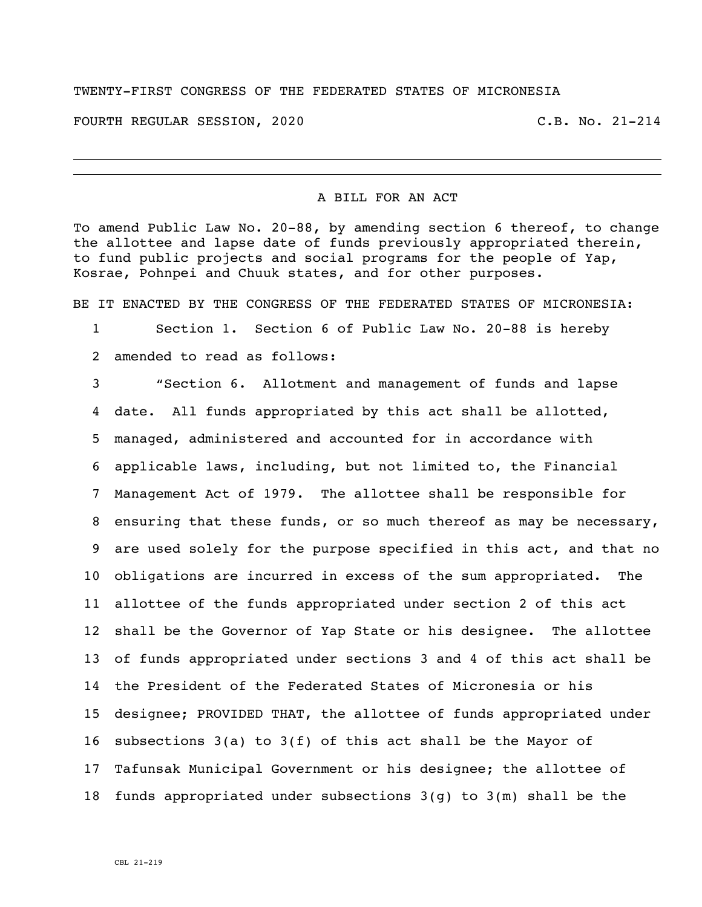## TWENTY-FIRST CONGRESS OF THE FEDERATED STATES OF MICRONESIA

FOURTH REGULAR SESSION, 2020 C.B. No. 21-214

i<br>L

## A BILL FOR AN ACT

To amend Public Law No. 20-88, by amending section 6 thereof, to change the allottee and lapse date of funds previously appropriated therein, to fund public projects and social programs for the people of Yap, Kosrae, Pohnpei and Chuuk states, and for other purposes.

BE IT ENACTED BY THE CONGRESS OF THE FEDERATED STATES OF MICRONESIA:

 Section 1. Section 6 of Public Law No. 20-88 is hereby amended to read as follows:

 "Section 6. Allotment and management of funds and lapse date. All funds appropriated by this act shall be allotted, managed, administered and accounted for in accordance with applicable laws, including, but not limited to, the Financial Management Act of 1979. The allottee shall be responsible for ensuring that these funds, or so much thereof as may be necessary, are used solely for the purpose specified in this act, and that no obligations are incurred in excess of the sum appropriated. The allottee of the funds appropriated under section 2 of this act shall be the Governor of Yap State or his designee. The allottee of funds appropriated under sections 3 and 4 of this act shall be the President of the Federated States of Micronesia or his designee; PROVIDED THAT, the allottee of funds appropriated under subsections 3(a) to 3(f) of this act shall be the Mayor of Tafunsak Municipal Government or his designee; the allottee of funds appropriated under subsections 3(g) to 3(m) shall be the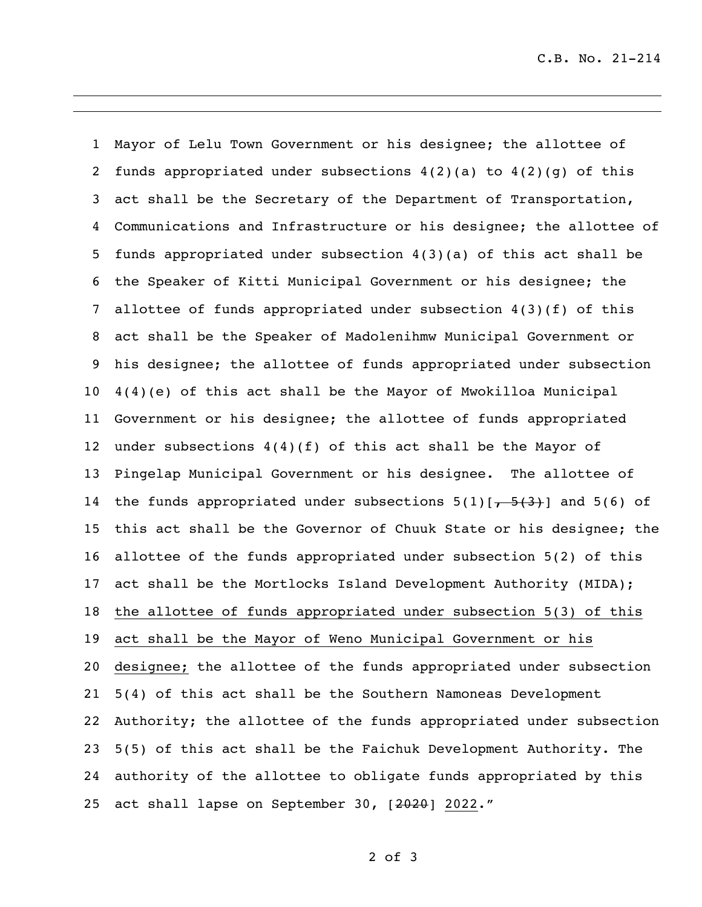C.B. No. 21-214

 Mayor of Lelu Town Government or his designee; the allottee of 2 funds appropriated under subsections  $4(2)(a)$  to  $4(2)(q)$  of this act shall be the Secretary of the Department of Transportation, Communications and Infrastructure or his designee; the allottee of funds appropriated under subsection 4(3)(a) of this act shall be the Speaker of Kitti Municipal Government or his designee; the allottee of funds appropriated under subsection 4(3)(f) of this act shall be the Speaker of Madolenihmw Municipal Government or his designee; the allottee of funds appropriated under subsection 4(4)(e) of this act shall be the Mayor of Mwokilloa Municipal Government or his designee; the allottee of funds appropriated under subsections 4(4)(f) of this act shall be the Mayor of Pingelap Municipal Government or his designee. The allottee of 14 the funds appropriated under subsections  $5(1)[-5(3)]$  and  $5(6)$  of this act shall be the Governor of Chuuk State or his designee; the allottee of the funds appropriated under subsection 5(2) of this act shall be the Mortlocks Island Development Authority (MIDA); the allottee of funds appropriated under subsection 5(3) of this act shall be the Mayor of Weno Municipal Government or his designee; the allottee of the funds appropriated under subsection 5(4) of this act shall be the Southern Namoneas Development Authority; the allottee of the funds appropriated under subsection 5(5) of this act shall be the Faichuk Development Authority. The authority of the allottee to obligate funds appropriated by this 25 act shall lapse on September 30, [2020] 2022."

of 3